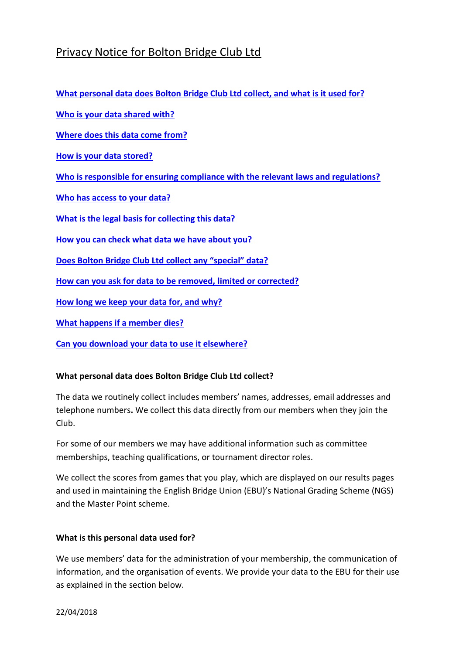# Privacy Notice for Bolton Bridge Club Ltd

**[What personal data does Bolton Bridge Club Ltd](#page-0-0) collect, and what is it used for?**

**[Who is your data shared with?](#page-1-0)**

**[Where does this data come from?](#page-1-1)**

**[How is your data stored?](#page-1-2)**

**[Who is responsible for ensuring compliance with the relevant laws and regulations?](#page-1-3)**

**[Who has access to your data?](#page-2-0)**

**What is the legal [basis for collecting this data?](#page-2-1)**

**[How you can check what data we have about you?](#page-2-2)**

**[Does Bolton Bridge Club Ltd](#page-2-3) collect any "special" data?**

**[How can you ask for data to be removed, limited or corrected?](#page-2-4)**

**[How long we keep your data for, and why?](#page-3-0)**

**[What happens if a member](#page-3-1) dies?**

**[Can you download your data to use it elsewhere?](#page-3-2)**

## <span id="page-0-0"></span>**What personal data does Bolton Bridge Club Ltd collect?**

The data we routinely collect includes members' names, addresses, email addresses and telephone numbers**.** We collect this data directly from our members when they join the Club.

For some of our members we may have additional information such as committee memberships, teaching qualifications, or tournament director roles.

We collect the scores from games that you play, which are displayed on our results pages and used in maintaining the English Bridge Union (EBU)'s National Grading Scheme (NGS) and the Master Point scheme.

## **What is this personal data used for?**

We use members' data for the administration of your membership, the communication of information, and the organisation of events. We provide your data to the EBU for their use as explained in the section below.

22/04/2018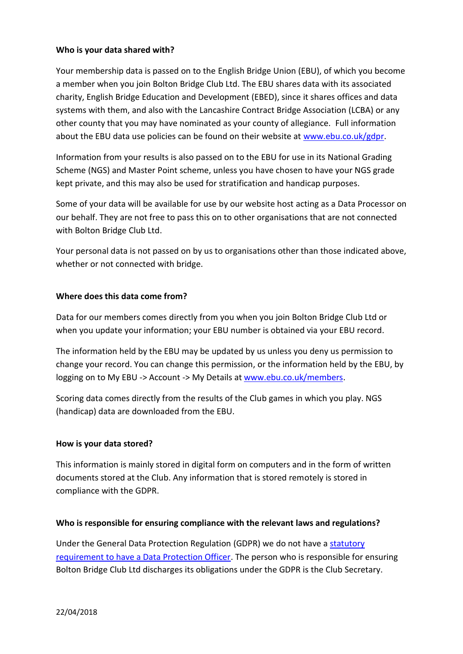## <span id="page-1-0"></span>**Who is your data shared with?**

Your membership data is passed on to the English Bridge Union (EBU), of which you become a member when you join Bolton Bridge Club Ltd. The EBU shares data with its associated charity, English Bridge Education and Development (EBED), since it shares offices and data systems with them, and also with the Lancashire Contract Bridge Association (LCBA) or any other county that you may have nominated as your county of allegiance. Full information about the EBU data use policies can be found on their website at [www.ebu.co.uk/gdpr.](http://www.ebu.co.uk/gdpr)

Information from your results is also passed on to the EBU for use in its National Grading Scheme (NGS) and Master Point scheme, unless you have chosen to have your NGS grade kept private, and this may also be used for stratification and handicap purposes.

Some of your data will be available for use by our website host acting as a Data Processor on our behalf. They are not free to pass this on to other organisations that are not connected with Bolton Bridge Club Ltd.

Your personal data is not passed on by us to organisations other than those indicated above, whether or not connected with bridge.

## <span id="page-1-1"></span>**Where does this data come from?**

Data for our members comes directly from you when you join Bolton Bridge Club Ltd or when you update your information; your EBU number is obtained via your EBU record.

The information held by the EBU may be updated by us unless you deny us permission to change your record. You can change this permission, or the information held by the EBU, by logging on to My EBU -> Account -> My Details at [www.ebu.co.uk/members.](http://www.ebu.co.uk/members)

Scoring data comes directly from the results of the Club games in which you play. NGS (handicap) data are downloaded from the EBU.

## <span id="page-1-2"></span>**How is your data stored?**

This information is mainly stored in digital form on computers and in the form of written documents stored at the Club. Any information that is stored remotely is stored in compliance with the GDPR.

## <span id="page-1-3"></span>**Who is responsible for ensuring compliance with the relevant laws and regulations?**

Under the General Data Protection Regulation (GDPR) we do not have a [statutory](https://ico.org.uk/for-organisations/guide-to-the-general-data-protection-regulation-gdpr/accountability-and-governance/data-protection-officers/)  [requirement to have a Data Protection Officer.](https://ico.org.uk/for-organisations/guide-to-the-general-data-protection-regulation-gdpr/accountability-and-governance/data-protection-officers/) The person who is responsible for ensuring Bolton Bridge Club Ltd discharges its obligations under the GDPR is the Club Secretary.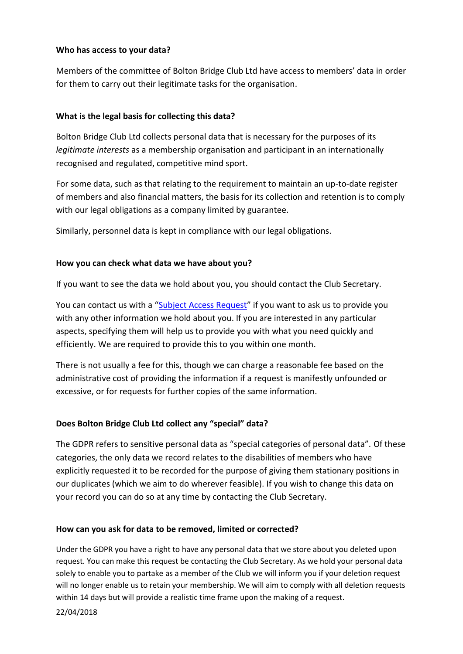## <span id="page-2-0"></span>**Who has access to your data?**

Members of the committee of Bolton Bridge Club Ltd have access to members' data in order for them to carry out their legitimate tasks for the organisation.

# <span id="page-2-1"></span>**What is the legal basis for collecting this data?**

Bolton Bridge Club Ltd collects personal data that is necessary for the purposes of its *legitimate interests* as a membership organisation and participant in an internationally recognised and regulated, competitive mind sport.

For some data, such as that relating to the requirement to maintain an up-to-date register of members and also financial matters, the basis for its collection and retention is to comply with our legal obligations as a company limited by guarantee.

Similarly, personnel data is kept in compliance with our legal obligations.

## <span id="page-2-2"></span>**How you can check what data we have about you?**

If you want to see the data we hold about you, you should contact the Club Secretary.

You can contact us with a "[Subject Access Request](https://ico.org.uk/for-the-public/personal-information/)" if you want to ask us to provide you with any other information we hold about you. If you are interested in any particular aspects, specifying them will help us to provide you with what you need quickly and efficiently. We are required to provide this to you within one month.

There is not usually a fee for this, though we can charge a reasonable fee based on the administrative cost of providing the information if a request is manifestly unfounded or excessive, or for requests for further copies of the same information.

# <span id="page-2-3"></span>**Does Bolton Bridge Club Ltd collect any "special" data?**

The GDPR refers to sensitive personal data as "special categories of personal data". Of these categories, the only data we record relates to the disabilities of members who have explicitly requested it to be recorded for the purpose of giving them stationary positions in our duplicates (which we aim to do wherever feasible). If you wish to change this data on your record you can do so at any time by contacting the Club Secretary.

## <span id="page-2-4"></span>**How can you ask for data to be removed, limited or corrected?**

Under the GDPR you have a right to have any personal data that we store about you deleted upon request. You can make this request be contacting the Club Secretary. As we hold your personal data solely to enable you to partake as a member of the Club we will inform you if your deletion request will no longer enable us to retain your membership. We will aim to comply with all deletion requests within 14 days but will provide a realistic time frame upon the making of a request.

22/04/2018